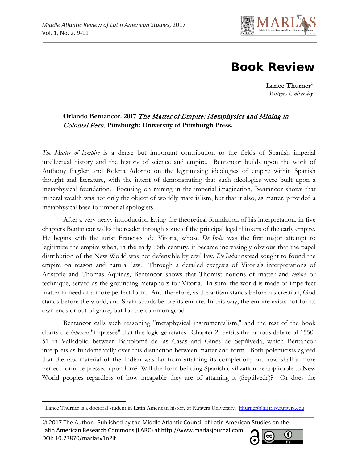

## **Book Review**

**Lance Thurner[1](#page-0-0)** *Rutgers University*

## **Orlando Bentancor. 2017** The Matter of Empire: Metaphysics and Mining in Colonial Peru. **Pittsburgh: University of Pittsburgh Press.**

*The Matter of Empire* is a dense but important contribution to the fields of Spanish imperial intellectual history and the history of science and empire. Bentancor builds upon the work of Anthony Pagden and Rolena Adorno on the legitimizing ideologies of empire within Spanish thought and literature, with the intent of demonstrating that such ideologies were built upon a metaphysical foundation. Focusing on mining in the imperial imagination, Bentancor shows that mineral wealth was not only the object of worldly materialism, but that it also, as matter, provided a metaphysical base for imperial apologists.

After a very heavy introduction laying the theoretical foundation of his interpretation, in five chapters Bentancor walks the reader through some of the principal legal thinkers of the early empire. He begins with the jurist Francisco de Vitoria, whose *De Indis* was the first major attempt to legitimize the empire when, in the early 16th century, it became increasingly obvious that the papal distribution of the New World was not defensible by civil law. *De Indis* instead sought to found the empire on reason and natural law. Through a detailed exegesis of Vitoria's interpretations of Aristotle and Thomas Aquinas, Bentancor shows that Thomist notions of matter and *techne,* or technique, served as the grounding metaphors for Vitoria. In sum, the world is made of imperfect matter in need of a more perfect form. And therefore, as the artisan stands before his creation, God stands before the world, and Spain stands before its empire. In this way, the empire exists not for its own ends or out of grace, but for the common good.

Bentancor calls such reasoning "metaphysical instrumentalism," and the rest of the book charts the *inherent* "impasses" that this logic generates. Chapter 2 revisits the famous debate of 1550- 51 in Valladolid between Bartolomé de las Casas and Ginés de Sepúlveda, which Bentancor interprets as fundamentally over this distinction between matter and form. Both polemicists agreed that the raw material of the Indian was far from attaining its completion; but how shall a more perfect form be pressed upon him? Will the form befitting Spanish civilization be applicable to New World peoples regardless of how incapable they are of attaining it (Sepúlveda)? Or does the

 $\overline{\phantom{a}}$ 



<span id="page-0-0"></span><sup>&</sup>lt;sup>1</sup> Lance Thurner is a doctoral student in Latin American history at Rutgers University. [lthurner@history.rutgers.edu](mailto:lthurner@history.rutgers.edu)

<sup>© 2017</sup> The Author. Published by the Middle Atlantic Council of Latin American Studies on the Latin American Research Commons (LARC) at http://www.marlasjournal.com DOI: [10.23870/marlasv1n2l](http://doi.org/10.23870/marlasv1n1tv)t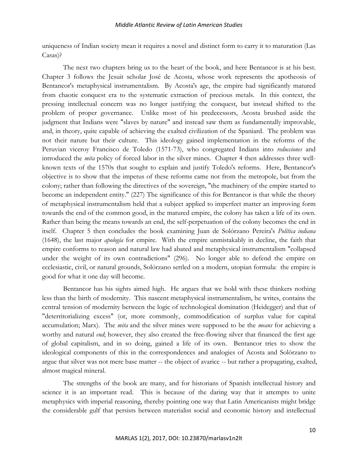uniqueness of Indian society mean it requires a novel and distinct form to carry it to maturation (Las Casas)?

The next two chapters bring us to the heart of the book, and here Bentancor is at his best. Chapter 3 follows the Jesuit scholar José de Acosta, whose work represents the apotheosis of Bentancor's metaphysical instrumentalism. By Acosta's age, the empire had significantly matured from chaotic conquest era to the systematic extraction of precious metals. In this context, the pressing intellectual concern was no longer justifying the conquest, but instead shifted to the problem of proper governance. Unlike most of his predecessors, Acosta brushed aside the judgment that Indians were "slaves by nature" and instead saw them as fundamentally improvable, and, in theory, quite capable of achieving the exalted civilization of the Spaniard. The problem was not their nature but their culture. This ideology gained implementation in the reforms of the Peruvian viceroy Francisco de Toledo (1571-73), who congregated Indians into *reducciones* and introduced the *mita* policy of forced labor in the silver mines. Chapter 4 then addresses three wellknown texts of the 1570s that sought to explain and justify Toledo's reforms. Here, Bentancor's objective is to show that the impetus of these reforms came not from the metropole, but from the colony; rather than following the directives of the sovereign, "the machinery of the empire started to become an independent entity." (227) The significance of this for Bentancor is that while the theory of metaphysical instrumentalism held that a subject applied to imperfect matter an improving form towards the end of the common good, in the matured empire, the colony has taken a life of its own. Rather than being the means towards an end, the self-perpetuation of the colony becomes the end in itself. Chapter 5 then concludes the book examining Juan de Solórzano Pereira's *Política indiana*  (1648), the last major *apología* for empire. With the empire unmistakably in decline, the faith that empire conforms to reason and natural law had abated and metaphysical instrumentalism "collapsed under the weight of its own contradictions" (296). No longer able to defend the empire on ecclesiastic, civil, or natural grounds, Solórzano settled on a modern, utopian formula: the empire is good for what it one day will become.

Bentancor has his sights aimed high. He argues that we hold with these thinkers nothing less than the birth of modernity. This nascent metaphysical instrumentalism, he writes, contains the central tension of modernity between the logic of technological domination (Heidegger) and that of "deterritorializing excess" (or, more commonly, commodification of surplus value for capital accumulation; Marx). The *mita* and the silver mines were supposed to be the *means* for achieving a worthy and natural *end*; however, they also created the free-flowing silver that financed the first age of global capitalism, and in so doing, gained a life of its own. Bentancor tries to show the ideological components of this in the correspondences and analogies of Acosta and Solórzano to argue that silver was not mere base matter -- the object of avarice -- but rather a propagating, exalted, almost magical mineral.

The strengths of the book are many, and for historians of Spanish intellectual history and science it is an important read. This is because of the daring way that it attempts to unite metaphysics with imperial reasoning, thereby pointing one way that Latin Americanists might bridge the considerable gulf that persists between materialist social and economic history and intellectual